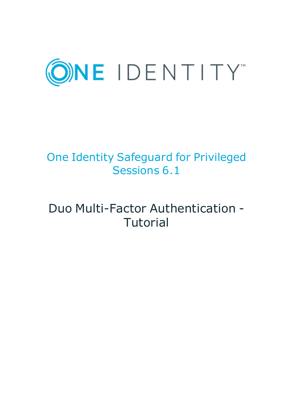

# One Identity Safeguard for Privileged Sessions 6.1

# Duo Multi-Factor Authentication - **Tutorial**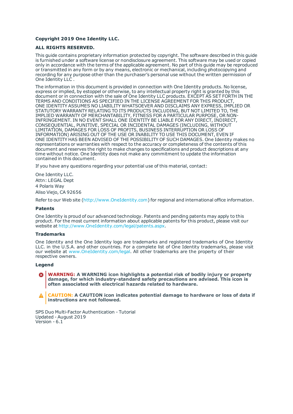### **Copyright 2019 One Identity LLC.**

### **ALL RIGHTS RESERVED.**

This guide contains proprietary information protected by copyright. The software described in this guide is furnished under a software license or nondisclosure agreement. This software may be used or copied only in accordance with the terms of the applicable agreement. No part of this guide may be reproduced or transmitted in any form or by any means, electronic or mechanical, including photocopying and recording for any purpose other than the purchaser's personal use without the written permission of One Identity LLC .

The information in this document is provided in connection with One Identity products. No license, express or implied, by estoppel or otherwise, to any intellectual property right is granted by this document or in connection with the sale of One Identity LLC products. EXCEPT AS SET FORTH IN THE TERMS AND CONDITIONS AS SPECIFIED IN THE LICENSE AGREEMENT FOR THIS PRODUCT, ONE IDENTITY ASSUMES NO LIABILITY WHATSOEVER AND DISCLAIMS ANY EXPRESS, IMPLIED OR STATUTORY WARRANTY RELATING TO ITS PRODUCTS INCLUDING, BUT NOT LIMITED TO, THE IMPLIED WARRANTY OF MERCHANTABILITY, FITNESS FOR A PARTICULAR PURPOSE, OR NON-INFRINGEMENT. IN NO EVENT SHALL ONE IDENTITY BE LIABLE FOR ANY DIRECT, INDIRECT, CONSEQUENTIAL, PUNITIVE, SPECIAL OR INCIDENTAL DAMAGES (INCLUDING, WITHOUT LIMITATION, DAMAGES FOR LOSS OF PROFITS, BUSINESS INTERRUPTION OR LOSS OF INFORMATION) ARISING OUT OF THE USE OR INABILITY TO USE THIS DOCUMENT, EVEN IF ONE IDENTITY HAS BEEN ADVISED OF THE POSSIBILITY OF SUCH DAMAGES. One Identity makes no representations or warranties with respect to the accuracy or completeness of the contents of this document and reserves the right to make changes to specifications and product descriptions at any time without notice. One Identity does not make any commitment to update the information contained in this document.

If you have any questions regarding your potential use of this material, contact:

One Identity LLC. Attn: LEGAL Dept 4 Polaris Way Aliso Viejo, CA 92656

Refer to our Web site ([http://www.OneIdentity.com](http://www.oneidentity.com/)) for regional and international office information.

### **Patents**

One Identity is proud of our advanced technology. Patents and pending patents may apply to this product. For the most current information about applicable patents for this product, please visit our website at [http://www.OneIdentity.com/legal/patents.aspx](http://www.oneidentity.com/legal/patents.aspx).

### **Trademarks**

One Identity and the One Identity logo are trademarks and registered trademarks of One Identity LLC. in the U.S.A. and other countries. For a complete list of One Identity trademarks, please visit our website at [www.OneIdentity.com/legal](http://www.oneidentity.com/legal). All other trademarks are the property of their respective owners.

### **Legend**

**WARNING: A WARNING icon highlights a potential risk of bodily injury or property damage, for which industry-standard safety precautions are advised. This icon is often associated with electrical hazards related to hardware.**

**CAUTION: A CAUTION icon indicates potential damage to hardware or loss of data if** A **instructions are not followed.**

SPS Duo Multi-Factor Authentication - Tutorial Updated - August 2019 Version - 6.1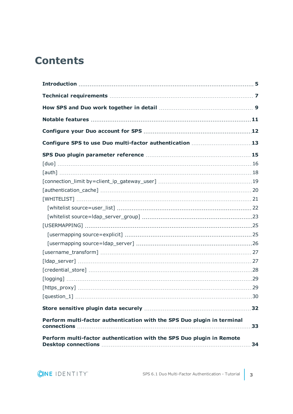## **Contents**

| Configure SPS to use Duo multi-factor authentication 13                 |      |
|-------------------------------------------------------------------------|------|
|                                                                         |      |
|                                                                         |      |
|                                                                         |      |
|                                                                         |      |
|                                                                         |      |
|                                                                         |      |
|                                                                         |      |
|                                                                         |      |
|                                                                         |      |
|                                                                         |      |
|                                                                         |      |
|                                                                         |      |
|                                                                         |      |
|                                                                         |      |
|                                                                         |      |
|                                                                         |      |
|                                                                         |      |
|                                                                         |      |
| Perform multi-factor authentication with the SPS Duo plugin in terminal | 33   |
| Perform multi-factor authentication with the SPS Duo plugin in Remote   | - 34 |

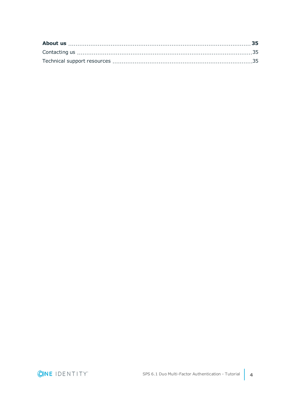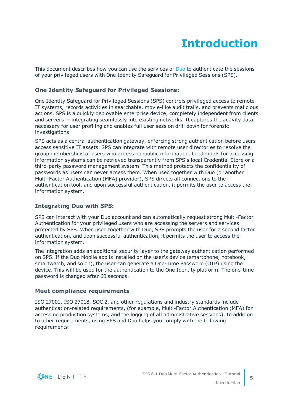# **Introduction**

<span id="page-4-0"></span>This document describes how you can use the services of [Duo](https://duo.com/) to authenticate the sessions of your privileged users with One Identity Safeguard for Privileged Sessions (SPS).

## **One Identity Safeguard for Privileged Sessions:**

One Identity Safeguard for Privileged Sessions (SPS) controls privileged access to remote IT systems, records activities in searchable, movie-like audit trails, and prevents malicious actions. SPS is a quickly deployable enterprise device, completely independent from clients and servers — integrating seamlessly into existing networks. It captures the activity data necessary for user profiling and enables full user session drill down for forensic investigations.

SPS acts as a central authentication gateway, enforcing strong authentication before users access sensitive IT assets. SPS can integrate with remote user directories to resolve the group memberships of users who access nonpublic information. Credentials for accessing information systems can be retrieved transparently from SPS's local Credential Store or a third-party password management system. This method protects the confidentiality of passwords as users can never access them. When used together with Duo (or another Multi-Factor Authentication (MFA) provider), SPS directs all connections to the authentication tool, and upon successful authentication, it permits the user to access the information system.

## **Integrating Duo with SPS:**

SPS can interact with your Duo account and can automatically request strong Multi-Factor Authentication for your privileged users who are accessing the servers and services protected by SPS. When used together with Duo, SPS prompts the user for a second factor authentication, and upon successful authentication, it permits the user to access the information system.

The integration adds an additional security layer to the gateway authentication performed on SPS. If the Duo Mobile app is installed on the user's device (smartphone, notebook, smartwatch, and so on), the user can generate a One-Time Password (OTP) using the device. This will be used for the authentication to the One Identity platform. The one-time password is changed after 60 seconds.

## **Meet compliance requirements**

ISO 27001, ISO 27018, SOC 2, and other regulations and industry standards include authentication-related requirements, (for example, Multi-Factor Authentication (MFA) for accessing production systems, and the logging of all administrative sessions). In addition to other requirements, using SPS and Duo helps you comply with the following requirements:

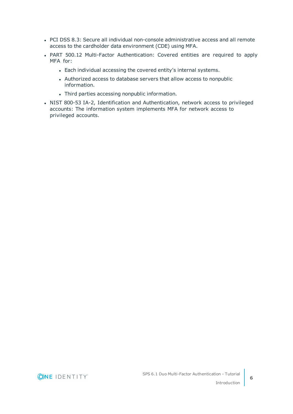- PCI DSS 8.3: Secure all individual non-console administrative access and all remote access to the cardholder data environment (CDE) using MFA.
- PART 500.12 Multi-Factor Authentication: Covered entities are required to apply MFA for:
	- Each individual accessing the covered entity's internal systems.
	- Authorized access to database servers that allow access to nonpublic information.
	- Third parties accessing nonpublic information.
- NIST 800-53 IA-2, Identification and Authentication, network access to privileged accounts: The information system implements MFA for network access to privileged accounts.

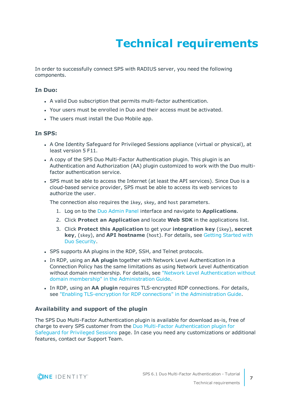# **Technical requirements**

<span id="page-6-0"></span>In order to successfully connect SPS with RADIUS server, you need the following components.

## **In Duo:**

- A valid Duo subscription that permits multi-factor authentication.
- Your users must be enrolled in Duo and their access must be activated.
- The users must install the Duo Mobile app.

## **In SPS:**

- A One Identity Safeguard for Privileged Sessions appliance (virtual or physical), at least version 5 F11.
- A copy of the SPS Duo Multi-Factor Authentication plugin. This plugin is an Authentication and Authorization (AA) plugin customized to work with the Duo multifactor authentication service.
- SPS must be able to access the Internet (at least the API services). Since Duo is a cloud-based service provider, SPS must be able to access its web services to authorize the user.

The connection also requires the ikey, skey, and host parameters.

- 1. Log on to the Duo [Admin](https://admin.duosecurity.com/) Panel interface and navigate to **Applications**.
- 2. Click **Protect an Application** and locate **Web SDK** in the applications list.
- 3. Click **Protect this Application** to get your **integration key** (ikey), **secret key**, (skey), and **API hostname** (host). For details, see Getting [Started](https://duo.com/docs/getting_started) with Duo [Security](https://duo.com/docs/getting_started).
- SPS supports AA plugins in the RDP, SSH, and Telnet protocols.
- **.** In RDP, using an AA plugin together with Network Level Authentication in a Connection Policy has the same limitations as using Network Level Authentication without domain membership. For details, see "Network Level [Authentication](https://support.oneidentity.com/technical-documents/safeguard-for-privileged-sessions/6.1.0/administration-guide/rdp-specific-settings/network-level-authentication-nla-with-one-identity-safeguard-for-privileged-sessions-sps/network-level-authentication-without-domain-membership/) without domain membership" in the [Administration](https://support.oneidentity.com/technical-documents/safeguard-for-privileged-sessions/6.1.0/administration-guide/rdp-specific-settings/network-level-authentication-nla-with-one-identity-safeguard-for-privileged-sessions-sps/network-level-authentication-without-domain-membership/) Guide.
- <sup>l</sup> In RDP, using an **AA plugin** requires TLS-encrypted RDP connections. For details, see "Enabling [TLS-encryption](https://support.oneidentity.com/technical-documents/safeguard-for-privileged-sessions/6.1.0/administration-guide/rdp-specific-settings/enabling-tls-encryption-for-rdp-connections/) for RDP connections" in the Administration Guide.

## **Availability and support of the plugin**

The SPS Duo Multi-Factor Authentication plugin is available for download as-is, free of charge to every SPS customer from the Duo Multi-Factor [Authentication](https://github.com/OneIdentity/safeguard-sessions-plugin-duo-mfa) plugin for [Safeguard](https://github.com/OneIdentity/safeguard-sessions-plugin-duo-mfa) for Privileged Sessions page. In case you need any customizations or additional features, contact our Support Team.

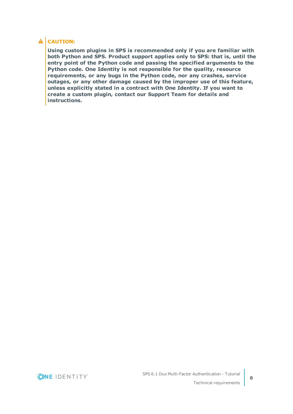## **A** CAUTION:

**Using custom plugins in SPS is recommended only if you are familiar with both Python and SPS. Product support applies only to SPS: that is, until the entry point of the Python code and passing the specified arguments to the Python code. One Identity is not responsible for the quality, resource requirements, or any bugs in the Python code, nor any crashes, service outages, or any other damage caused by the improper use of this feature, unless explicitly stated in a contract with One Identity. If you want to create a custom plugin, contact our Support Team for details and instructions.**

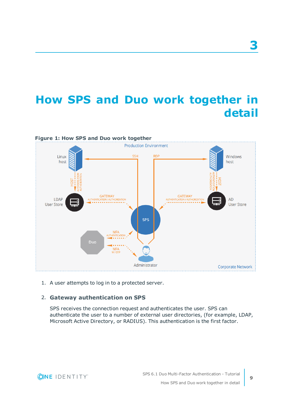# <span id="page-8-0"></span>**How SPS and Duo work together in detail**



1. A user attempts to log in to a protected server.

## 2. **Gateway authentication on SPS**

SPS receives the connection request and authenticates the user. SPS can authenticate the user to a number of external user directories, (for example, LDAP, Microsoft Active Directory, or RADIUS). This authentication is the first factor.

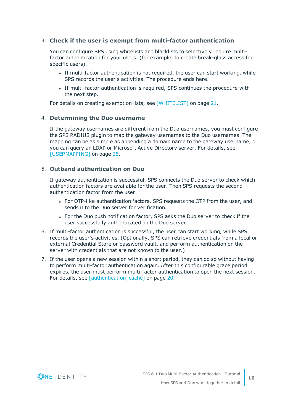## 3. **Check if the user is exempt from multi-factor authentication**

You can configure SPS using whitelists and blacklists to selectively require multifactor authentication for your users, (for example, to create break-glass access for specific users).

- If multi-factor authentication is not required, the user can start working, while SPS records the user's activities. The procedure ends here.
- If multi-factor authentication is required, SPS continues the procedure with the next step.

For details on creating exemption lists, see [\[WHITELIST\]](#page-20-0) on page 21.

## 4. **Determining the Duo username**

If the gateway usernames are different from the Duo usernames, you must configure the SPS RADIUS plugin to map the gateway usernames to the Duo usernames. The mapping can be as simple as appending a domain name to the gateway username, or you can query an LDAP or Microsoft Active Directory server. For details, see [\[USERMAPPING\]](#page-24-0) on page 25.

## 5. **Outband authentication on Duo**

If gateway authentication is successful, SPS connects the Duo server to check which authentication factors are available for the user. Then SPS requests the second authentication factor from the user.

- For OTP-like authentication factors, SPS requests the OTP from the user, and sends it to the Duo server for verification.
- For the Duo push notification factor, SPS asks the Duo server to check if the user successfully authenticated on the Duo server.
- 6. If multi-factor authentication is successful, the user can start working, while SPS records the user's activities. (Optionally, SPS can retrieve credentials from a local or external Credential Store or password vault, and perform authentication on the server with credentials that are not known to the user.)
- 7. If the user opens a new session within a short period, they can do so without having to perform multi-factor authentication again. After this configurable grace period expires, the user must perform multi-factor authentication to open the next session. For details, see [authentication cache] on page 20.

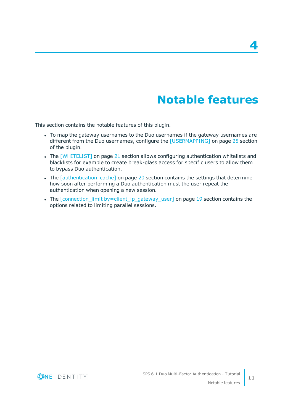## **Notable features**

<span id="page-10-0"></span>This section contains the notable features of this plugin.

- To map the gateway usernames to the Duo usernames if the gateway usernames are different from the Duo usernames, configure the [\[USERMAPPING\]](#page-24-0) on page 25 section of the plugin.
- The [\[WHITELIST\]](#page-20-0) on page 21 section allows configuring authentication whitelists and blacklists for example to create break-glass access for specific users to allow them to bypass Duo authentication.
- The [\[authentication\\_cache\]](#page-19-0) on page 20 section contains the settings that determine how soon after performing a Duo authentication must the user repeat the authentication when opening a new session.
- The [connection\_limit [by=client\\_ip\\_gateway\\_user\]](#page-18-0) on page 19 section contains the options related to limiting parallel sessions.



**11**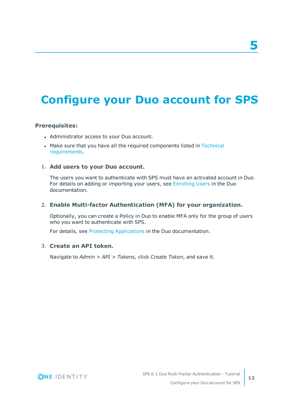## **5**

# <span id="page-11-0"></span>**Configure your Duo account for SPS**

## **Prerequisites:**

- Administrator access to your Duo account.
- Make sure that you have all the required components listed in [Technical](#page-6-0) [requirements](#page-6-0).

## 1. **Add users to your Duo account.**

The users you want to authenticate with SPS must have an activated account in Duo. For details on adding or importing your users, see [Enrolling](https://duo.com/docs/enrolling_users) Users in the Duo documentation.

## 2. **Enable Multi-factor Authentication (MFA) for your organization.**

Optionally, you can create a Policy in Duo to enable MFA only for the group of users who you want to authenticate with SPS.

For details, see Protecting [Applications](https://duo.com/docs/creating_applications) in the Duo documentation.

## 3. **Create an API token.**

Navigate to *Admin > API > Tokens*, click *Create Token*, and save it.

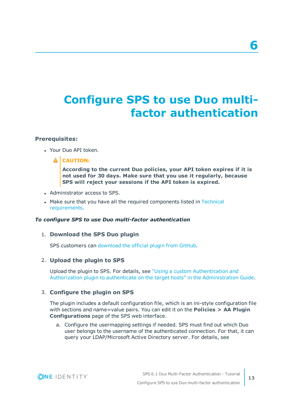# <span id="page-12-0"></span>**Configure SPS to use Duo multifactor authentication**

## **Prerequisites:**

- Your Duo API token.
	- **A** CAUTION:

**According to the current Duo policies, your API token expires if it is not used for 30 days. Make sure that you use it regularly, because SPS will reject your sessions if the API token is expired.**

- Administrator access to SPS.
- Make sure that you have all the required components listed in [Technical](#page-6-0) [requirements](#page-6-0).

## *To configure SPS to use Duo multi-factor authentication*

## 1. **Download the SPS Duo plugin**

SPS customers can [download](https://github.com/OneIdentity/safeguard-sessions-plugin-duo-mfa/releases) the official plugin from GitHub.

## 2. **Upload the plugin to SPS**

Upload the plugin to SPS. For details, see "Using a custom [Authentication](https://support.oneidentity.com/technical-documents/safeguard-for-privileged-sessions/6.1.0/administration-guide/advanced-authentication-and-authorization-techniques/integrating-external-authentication-and-authorization-systems/using-a-custom-authentication-and-authorization-plugin-to-authenticate-on-the-target-hosts/) and Authorization plugin to authenticate on the target hosts" in the [Administration](https://support.oneidentity.com/technical-documents/safeguard-for-privileged-sessions/6.1.0/administration-guide/advanced-authentication-and-authorization-techniques/integrating-external-authentication-and-authorization-systems/using-a-custom-authentication-and-authorization-plugin-to-authenticate-on-the-target-hosts/) Guide.

## 3. **Configure the plugin on SPS**

The plugin includes a default configuration file, which is an ini-style configuration file with sections and name=value pairs. You can edit it on the **Policies > AA Plugin Configurations** page of the SPS web interface.

a. Configure the usermapping settings if needed. SPS must find out which Duo user belongs to the username of the authenticated connection. For that, it can query your LDAP/Microsoft Active Directory server. For details, see



**6**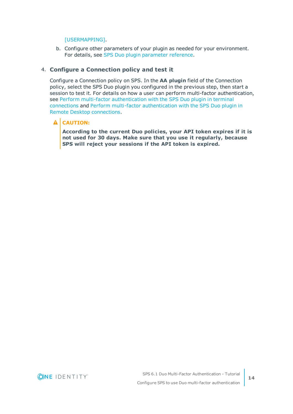## [\[USERMAPPING\].](#page-24-0)

b. Configure other parameters of your plugin as needed for your environment. For details, see SPS Duo plugin [parameter](#page-14-0) reference.

## 4. **Configure a Connection policy and test it**

Configure a Connection policy on SPS. In the **AA plugin** field of the Connection policy, select the SPS Duo plugin you configured in the previous step, then start a session to test it. For details on how a user can perform multi-factor authentication, see Perform multi-factor [authentication](#page-32-0) with the SPS Duo plugin in terminal [connections](#page-32-0) and Perform multi-factor [authentication](#page-33-0) with the SPS Duo plugin in Remote Desktop [connections](#page-33-0).

## **A** CAUTION:

**According to the current Duo policies, your API token expires if it is not used for 30 days. Make sure that you use it regularly, because SPS will reject your sessions if the API token is expired.**

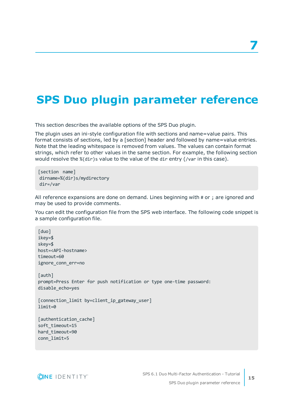# <span id="page-14-0"></span>**SPS Duo plugin parameter reference**

This section describes the available options of the SPS Duo plugin.

The plugin uses an ini-style configuration file with sections and name=value pairs. This format consists of sections, led by a [section] header and followed by name=value entries. Note that the leading whitespace is removed from values. The values can contain format strings, which refer to other values in the same section. For example, the following section would resolve the %(dir)s value to the value of the dir entry (/var in this case).

[section name] dirname=%(dir)s/mydirectory dir=/var

All reference expansions are done on demand. Lines beginning with # or ; are ignored and may be used to provide comments.

You can edit the configuration file from the SPS web interface. The following code snippet is a sample configuration file.

[duo] ikey=\$ skey=\$ host=<API-hostname> timeout=60 ignore\_conn\_err=no [auth] prompt=Press Enter for push notification or type one-time password: disable\_echo=yes [connection\_limit by=client\_ip\_gateway\_user] limit=0 [authentication\_cache] soft\_timeout=15 hard timeout=90 conn\_limit=5

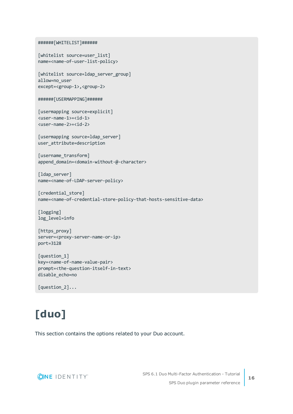```
######[WHITELIST]######
```

```
[whitelist source=user list]
name=<name-of-user-list-policy>
```
[whitelist source=ldap server group] allow=no\_user except=<group-1>,<group-2>

######[USERMAPPING]######

[usermapping source=explicit] <user-name-1>=<id-1> <user-name-2>=<id-2>

[usermapping source=ldap\_server] user attribute=description

[username transform] append\_domain=<domain-without-@-character>

[ldap\_server] name=<name-of-LDAP-server-policy>

[credential store] name=<name-of-credential-store-policy-that-hosts-sensitive-data>

[logging] log\_level=info

[https\_proxy] server=<proxy-server-name-or-ip> port=3128

[question\_1] key=<name-of-name-value-pair> prompt=<the-question-itself-in-text> disable\_echo=no

<span id="page-15-0"></span>[question\_2]...

# **[duo]**

This section contains the options related to your Duo account.

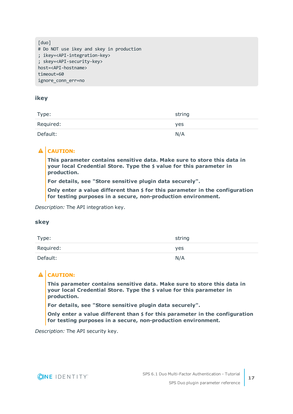```
[duo]
# Do NOT use ikey and skey in production
; ikey=<API-integration-key>
; skey=<API-security-key>
host=<API-hostname>
timeout=60
ignore_conn_err=no
```
## **ikey**

| Type:     | string |
|-----------|--------|
| Required: | yes    |
| Default:  | N/A    |

## **A** CAUTION:

**This parameter contains sensitive data. Make sure to store this data in your local Credential Store. Type the \$ value for this parameter in production.**

**For details, see "Store sensitive plugin data securely".**

**Only enter a value different than \$ for this parameter in the configuration for testing purposes in a secure, non-production environment.**

*Description:* The API integration key.

## **skey**

| Type:     | string     |
|-----------|------------|
| Required: | <b>yes</b> |
| Default:  | N/A        |

## **A** CAUTION:

**This parameter contains sensitive data. Make sure to store this data in your local Credential Store. Type the \$ value for this parameter in production.**

**For details, see "Store sensitive plugin data securely".**

**Only enter a value different than \$ for this parameter in the configuration for testing purposes in a secure, non-production environment.**

*Description:* The API security key.

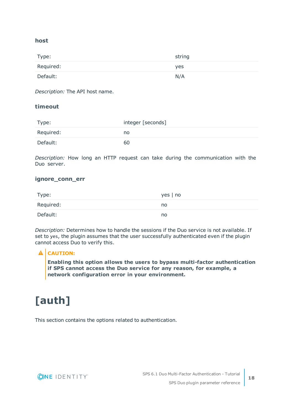## **host**

| Type:     | string |
|-----------|--------|
| Required: | yes    |
| Default:  | N/A    |

*Description:* The API host name.

## **timeout**

| Type:     | integer [seconds] |
|-----------|-------------------|
| Required: | no                |
| Default:  | 60                |

*Description:* How long an HTTP request can take during the communication with the Duo server.

## **ignore\_conn\_err**

| Type:     | $yes \mid no$ |
|-----------|---------------|
| Required: | no            |
| Default:  | no            |

*Description:* Determines how to handle the sessions if the Duo service is not available. If set to yes, the plugin assumes that the user successfully authenticated even if the plugin cannot access Duo to verify this.

## **A** CAUTION:

**Enabling this option allows the users to bypass multi-factor authentication if SPS cannot access the Duo service for any reason, for example, a network configuration error in your environment.**

# <span id="page-17-0"></span>**[auth]**

This section contains the options related to authentication.



**18**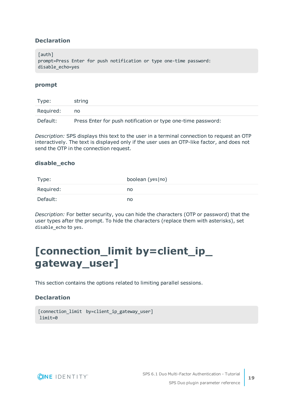## **Declaration**

[auth] prompt=Press Enter for push notification or type one-time password: disable\_echo=yes

## **prompt**

| Type:     | string                                                       |
|-----------|--------------------------------------------------------------|
| Required: | no                                                           |
| Default:  | Press Enter for push notification or type one-time password: |

*Description:* SPS displays this text to the user in a terminal connection to request an OTP interactively. The text is displayed only if the user uses an OTP-like factor, and does not send the OTP in the connection request.

## **disable\_echo**

| Type:     | boolean (yes no) |
|-----------|------------------|
| Required: | no               |
| Default:  | no               |

*Description:* For better security, you can hide the characters (OTP or password) that the user types after the prompt. To hide the characters (replace them with asterisks), set disable\_echo to yes.

## <span id="page-18-0"></span>**[connection\_limit by=client\_ip\_ gateway\_user]**

This section contains the options related to limiting parallel sessions.

## **Declaration**

```
[connection_limit by=client_ip_gateway_user]
limit=0
```
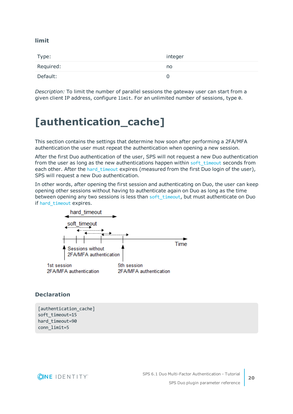## **limit**

| Type:     | integer |
|-----------|---------|
| Required: | no      |
| Default:  | 0       |

*Description:* To limit the number of parallel sessions the gateway user can start from a given client IP address, configure limit. For an unlimited number of sessions, type 0.

## <span id="page-19-0"></span>**[authentication\_cache]**

This section contains the settings that determine how soon after performing a 2FA/MFA authentication the user must repeat the authentication when opening a new session.

After the first Duo authentication of the user, SPS will not request a new Duo authentication from the user as long as the new authentications happen within soft timeout seconds from each other. After the hard timeout expires (measured from the first Duo login of the user), SPS will request a new Duo authentication.

In other words, after opening the first session and authenticating on Duo, the user can keep opening other sessions without having to authenticate again on Duo as long as the time between opening any two sessions is less than soft timeout, but must authenticate on Duo if hard timeout expires.



## **Declaration**

[authentication\_cache] soft\_timeout=15 hard timeout=90 conn\_limit=5

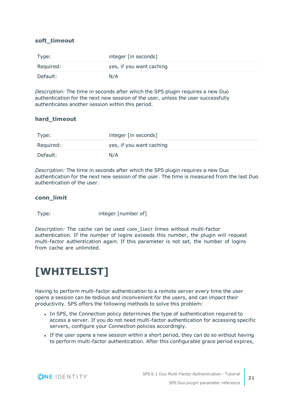## <span id="page-20-1"></span>**soft\_timeout**

| Type:     | integer [in seconds]     |
|-----------|--------------------------|
| Required: | yes, if you want caching |
| Default:  | N/A                      |

*Description:* The time in seconds after which the SPS plugin requires a new Duo authentication for the next new session of the user, unless the user successfully authenticates another session within this period.

## <span id="page-20-2"></span>**hard\_timeout**

| Type:     | integer [in seconds]     |
|-----------|--------------------------|
| Required: | yes, if you want caching |
| Default:  | N/A                      |

*Description:* The time in seconds after which the SPS plugin requires a new Duo authentication for the next new session of the user. The time is measured from the last Duo authentication of the user.

## **conn\_limit**

Type: integer [number of]

*Description:* The cache can be used conn\_limit times without multi-factor authentication. If the number of logins exceeds this number, the plugin will request multi-factor authentication again. If this parameter is not set, the number of logins from cache are unlimited.

## <span id="page-20-0"></span>**[WHITELIST]**

Having to perform multi-factor authentication to a remote server every time the user opens a session can be tedious and inconvenient for the users, and can impact their productivity. SPS offers the following methods to solve this problem:

- In SPS, the Connection policy determines the type of authentication required to access a server. If you do not need multi-factor authentication for accessing specific servers, configure your Connection policies accordingly.
- If the user opens a new session within a short period, they can do so without having to perform multi-factor authentication. After this configurable grace period expires,

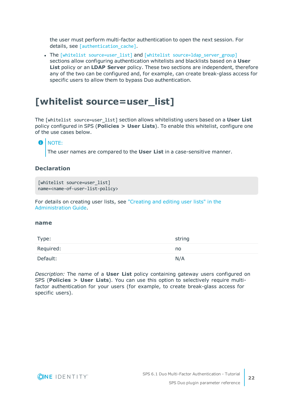the user must perform multi-factor authentication to open the next session. For details, see [authentication cache].

• The [whitelist [source=user\\_list\]](#page-21-0) and [whitelist [source=ldap\\_server\\_group\]](#page-22-0) sections allow configuring authentication whitelists and blacklists based on a **User List** policy or an **LDAP Server** policy. These two sections are independent, therefore any of the two can be configured and, for example, can create break-glass access for specific users to allow them to bypass Duo authentication.

## <span id="page-21-0"></span>**[whitelist source=user\_list]**

The [whitelist source=user\_list] section allows whitelisting users based on a **User List** policy configured in SPS (**Policies > User Lists**). To enable this whitelist, configure one of the use cases below.

#### 6 NOTE:

The user names are compared to the **User List** in a case-sensitive manner.

## **Declaration**

```
[whitelist source=user list]
name=<name-of-user-list-policy>
```
For details on creating user lists, see ["Creating](https://support.oneidentity.com/technical-documents/safeguard-for-privileged-sessions/6.1.0/administration-guide/general-connection-settings/creating-and-editing-user-lists/) and editing user lists" in the [Administration](https://support.oneidentity.com/technical-documents/safeguard-for-privileged-sessions/6.1.0/administration-guide/general-connection-settings/creating-and-editing-user-lists/) Guide.

### <span id="page-21-1"></span>**name**

| Type:     | string |
|-----------|--------|
| Required: | no     |
| Default:  | N/A    |

*Description:* The name of a **User List** policy containing gateway users configured on SPS (**Policies > User Lists**). You can use this option to selectively require multifactor authentication for your users (for example, to create break-glass access for specific users).

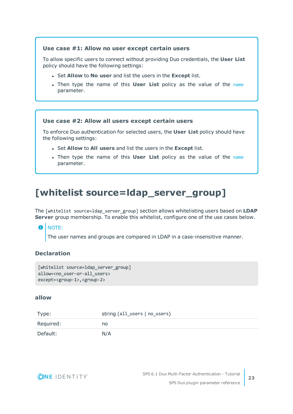## **Use case #1: Allow no user except certain users**

To allow specific users to connect without providing Duo credentials, the **User List** policy should have the following settings:

- <sup>l</sup> Set **Allow** to **No user** and list the users in the **Except** list.
- **.** Then type the [name](#page-21-1) of this **User List** policy as the value of the name parameter.

## **Use case #2: Allow all users except certain users**

To enforce Duo authentication for selected users, the **User List** policy should have the following settings:

- <sup>l</sup> Set **Allow** to **All users** and list the users in the **Except** list.
- <sup>l</sup> Then type the name of this **User List** policy as the value of the [name](#page-21-1) parameter.

## <span id="page-22-0"></span>**[whitelist source=ldap\_server\_group]**

The [whitelist source=ldap\_server\_group] section allows whitelisting users based on **LDAP Server** group membership. To enable this whitelist, configure one of the use cases below.

## **O** NOTE:

The user names and groups are compared in LDAP in a case-insensitive manner.

## **Declaration**

```
[whitelist source=ldap server group]
allow=<no_user-or-all_users>
except=<group-1>,<group-2>
```
## <span id="page-22-1"></span>**allow**

| Type:     | string (all_users   no_users) |
|-----------|-------------------------------|
| Required: | no                            |
| Default:  | N/A                           |

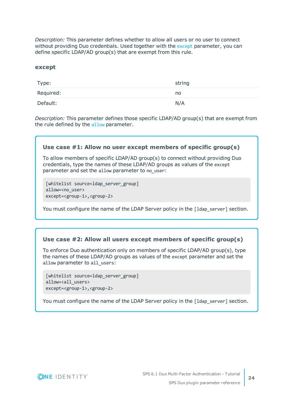*Description:* This parameter defines whether to allow all users or no user to connect without providing Duo credentials. Used together with the [except](#page-23-0) parameter, you can define specific LDAP/AD group(s) that are exempt from this rule.

## <span id="page-23-0"></span>**except**

| Type:     | string |
|-----------|--------|
| Required: | no     |
| Default:  | N/A    |

*Description:* This parameter defines those specific LDAP/AD group(s) that are exempt from the rule defined by the [allow](#page-22-1) parameter.

## **Use case #1: Allow no user except members of specific group(s)**

To allow members of specific LDAP/AD group(s) to connect without providing Duo credentials, type the names of these LDAP/AD groups as values of the except parameter and set the allow parameter to no user:

```
[whitelist source=ldap server group]
allow=<no_user>
except=<group-1>,<group-2>
```
You must configure the name of the LDAP Server policy in the [1dap\_server] section.

## **Use case #2: Allow all users except members of specific group(s)**

To enforce Duo authentication only on members of specific LDAP/AD group(s), type the names of these LDAP/AD groups as values of the except parameter and set the allow parameter to all users:

```
[whitelist source=ldap_server_group]
allow=<all_users>
except=<group-1>,<group-2>
```
You must configure the name of the LDAP Server policy in the [1dap\_server] section.

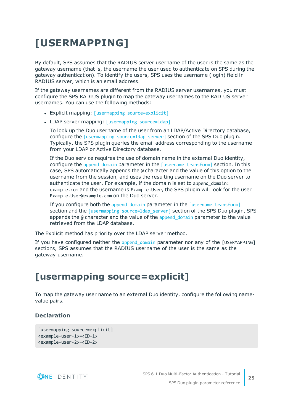# <span id="page-24-0"></span>**[USERMAPPING]**

By default, SPS assumes that the RADIUS server username of the user is the same as the gateway username (that is, the username the user used to authenticate on SPS during the gateway authentication). To identify the users, SPS uses the username (login) field in RADIUS server, which is an email address.

If the gateway usernames are different from the RADIUS server usernames, you must configure the SPS RADIUS plugin to map the gateway usernames to the RADIUS server usernames. You can use the following methods:

- Explicit mapping: [usermapping [source=explicit\]](#page-24-1)
- LDAP server mapping: [\[usermapping](#page-25-0) source=ldap]

To look up the Duo username of the user from an LDAP/Active Directory database, configure the [usermapping [source=ldap\\_server\]](#page-25-0) section of the SPS Duo plugin. Typically, the SPS plugin queries the email address corresponding to the username from your LDAP or Active Directory database.

If the Duo service requires the use of domain name in the external Duo identity, configure the append domain parameter in the  $[$ username transform] section. In this case, SPS automatically appends the @ character and the value of this option to the username from the session, and uses the resulting username on the Duo server to authenticate the user. For example, if the domain is set to append\_domain: example.com and the username is Example.User, the SPS plugin will look for the user Example.User@example.com on the Duo server.

If you configure both the append domain parameter in the [\[username\\_transform\]](#page-26-0) section and the [usermapping source=1dap\_server] section of the SPS Duo plugin, SPS appends the  $\omega$  character and the value of the append domain parameter to the value retrieved from the LDAP database.

The Explicit method has priority over the LDAP server method.

If you have configured neither the [append\\_domain](#page-26-2) parameter nor any of the [USERMAPPING] sections, SPS assumes that the RADIUS username of the user is the same as the gateway username.

## <span id="page-24-1"></span>**[usermapping source=explicit]**

To map the gateway user name to an external Duo identity, configure the following namevalue pairs.

## **Declaration**

```
[usermapping source=explicit]
<example-user-1>=<ID-1>
<example-user-2>=<ID-2>
```
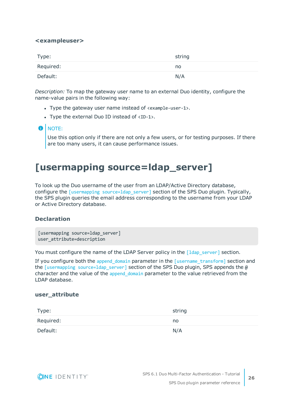## **<exampleuser>**

| Type:     | string |
|-----------|--------|
| Required: | no     |
| Default:  | N/A    |

*Description:* To map the gateway user name to an external Duo identity, configure the name-value pairs in the following way:

- Type the gateway user name instead of  $\langle$  example-user-1>.
- Type the external Duo ID instead of  $\langle$ ID-1>.

## $\bullet$  NOTE:

Use this option only if there are not only a few users, or for testing purposes. If there are too many users, it can cause performance issues.

## <span id="page-25-0"></span>**[usermapping source=ldap\_server]**

To look up the Duo username of the user from an LDAP/Active Directory database, configure the [usermapping source=1dap\_server] section of the SPS Duo plugin. Typically, the SPS plugin queries the email address corresponding to the username from your LDAP or Active Directory database.

## **Declaration**

```
[usermapping source=ldap_server]
user_attribute=description
```
You must configure the name of the LDAP Server policy in the  $\lceil 1 \text{dap server} \rceil$  section.

If you configure both the append domain parameter in the  $[$ username transform] section and the [usermapping source=1dap\_server] section of the SPS Duo plugin, SPS appends the  $\omega$ character and the value of the append domain parameter to the value retrieved from the LDAP database.

## **user\_attribute**

| Type:     | string |
|-----------|--------|
| Required: | no     |
| Default:  | N/A    |



**26**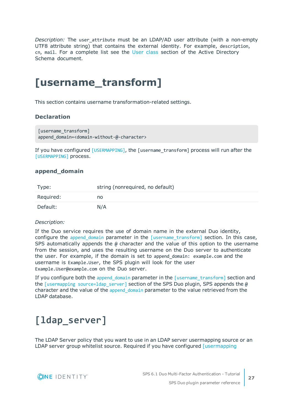*Description:* The user\_attribute must be an LDAP/AD user attribute (with a non-empty UTF8 attribute string) that contains the external identity. For example, description, cn, mail. For a complete list see the User [class](https://docs.microsoft.com/en-gb/windows/desktop/ADSchema/c-user) section of the Active Directory Schema document.

## <span id="page-26-0"></span>**[username\_transform]**

This section contains username transformation-related settings.

## **Declaration**

```
[username_transform]
append domain=<domain-without-@-character>
```
If you have configured [\[USERMAPPING\]](#page-24-0), the [username\_transform] process will run after the [\[USERMAPPING\]](#page-24-0) process.

## <span id="page-26-2"></span>**append\_domain**

| Type:     | string (nonrequired, no default) |
|-----------|----------------------------------|
| Required: | no                               |
| Default:  | N/A                              |

## *Description:*

If the Duo service requires the use of domain name in the external Duo identity, configure the append domain parameter in the [\[username\\_transform\]](#page-26-0) section. In this case, SPS automatically appends the  $\varnothing$  character and the value of this option to the username from the session, and uses the resulting username on the Duo server to authenticate the user. For example, if the domain is set to append\_domain: example.com and the username is Example.User, the SPS plugin will look for the user Example.User@example.com on the Duo server.

If you configure both the append domain parameter in the [\[username\\_transform\]](#page-26-0) section and the [usermapping [source=ldap\\_server\]](#page-25-0) section of the SPS Duo plugin, SPS appends the  $\omega$ character and the value of the append domain parameter to the value retrieved from the LDAP database.

## <span id="page-26-1"></span>**[ldap\_server]**

The LDAP Server policy that you want to use in an LDAP server usermapping source or an LDAP server group whitelist source. Required if you have configured [\[usermapping](#page-25-0)

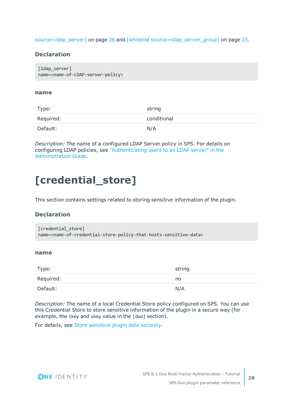[source=ldap\\_server\]](#page-25-0) on page 26 and [whitelist [source=ldap\\_server\\_group\]](#page-22-0) on page 23.

## **Declaration**

```
[ldap server]
name=<name-of-LDAP-server-policy>
```
## **name**

| Type:     | string      |
|-----------|-------------|
| Required: | conditional |
| Default:  | N/A         |

*Description:* The name of a configured LDAP Server policy in SPS. For details on configuring LDAP policies, see ["Authenticating](https://support.oneidentity.com/technical-documents/safeguard-for-privileged-sessions/6.1.0/administration-guide/general-connection-settings/authenticating-users-to-an-ldap-server/) users to an LDAP server" in the [Administration](https://support.oneidentity.com/technical-documents/safeguard-for-privileged-sessions/6.1.0/administration-guide/general-connection-settings/authenticating-users-to-an-ldap-server/) Guide.

## <span id="page-27-0"></span>**[credential\_store]**

This section contains settings related to storing sensitive information of the plugin.

## **Declaration**

```
[credential_store]
name=<name-of-credential-store-policy-that-hosts-sensitive-data>
```
## <span id="page-27-1"></span>**name**

| Type:     | string |
|-----------|--------|
| Required: | no     |
| Default:  | N/A    |

*Description:* The name of a local Credential Store policy configured on SPS. You can use this Credential Store to store sensitive information of the plugin in a secure way (for example, the ikey and skey value in the [duo] section).

For details, see Store [sensitive](#page-31-0) plugin data securely.

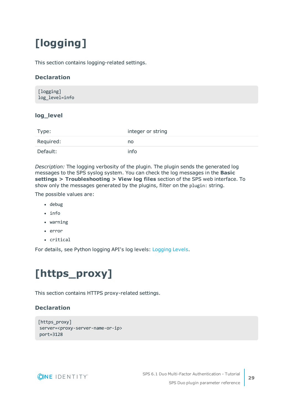# <span id="page-28-0"></span>**[logging]**

This section contains logging-related settings.

## **Declaration**

[logging] log\_level=info

## **log\_level**

| Type:     | integer or string |
|-----------|-------------------|
| Required: | no                |
| Default:  | info              |

*Description:* The logging verbosity of the plugin. The plugin sends the generated log messages to the SPS syslog system. You can check the log messages in the **Basic settings > Troubleshooting > View log files** section of the SPS web interface. To show only the messages generated by the plugins, filter on the plugin: string.

The possible values are:

- $\cdot$  debug
- $\cdot$  info
- $\bullet$  warning
- $\cdot$  error
- critical

<span id="page-28-1"></span>For details, see Python logging API's log levels: [Logging](https://docs.python.org/2/library/logging.html#logging-levels) Levels.

# **[https\_proxy]**

This section contains HTTPS proxy-related settings.

## **Declaration**

```
[https_proxy]
server=<proxy-server-name-or-ip>
port=3128
```
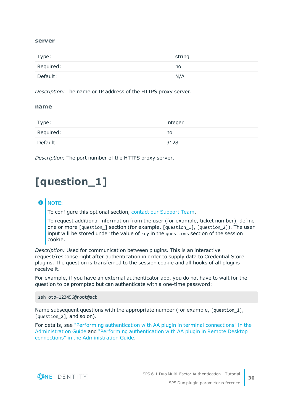### **server**

| Type:     | string |
|-----------|--------|
| Required: | no     |
| Default:  | N/A    |

*Description:* The name or IP address of the HTTPS proxy server.

### **name**

| Type:     | integer |
|-----------|---------|
| Required: | no      |
| Default:  | 3128    |

<span id="page-29-0"></span>*Description:* The port number of the HTTPS proxy server.

# **[question\_1]**

#### 6 NOTE:

To configure this optional section, contact our [Support](https://support.oneidentity.com/one-identity-safeguard-for-privileged-sessions) Team.

To request additional information from the user (for example, ticket number), define one or more [question\_] section (for example, [question\_1], [question\_2]). The user input will be stored under the value of key in the questions section of the session cookie.

*Description:* Used for communication between plugins. This is an interactive request/response right after authentication in order to supply data to Credential Store plugins. The question is transferred to the session cookie and all hooks of all plugins receive it.

For example, if you have an external authenticator app, you do not have to wait for the question to be prompted but can authenticate with a one-time password:

ssh otp=123456@root@scb

Name subsequent questions with the appropriate number (for example, [question 1], [question 2], and so on).

For details, see "Performing [authentication](https://support.oneidentity.com/technical-documents/safeguard-for-privileged-sessions/6.1.0/administration-guide/advanced-authentication-and-authorization-techniques/integrating-external-authentication-and-authorization-systems/performing-authentication-with-aa-plugin-in-terminal-connections/) with AA plugin in terminal connections" in the [Administration](https://support.oneidentity.com/technical-documents/safeguard-for-privileged-sessions/6.1.0/administration-guide/advanced-authentication-and-authorization-techniques/integrating-external-authentication-and-authorization-systems/performing-authentication-with-aa-plugin-in-terminal-connections/) Guide and "Performing [authentication](https://support.oneidentity.com/technical-documents/safeguard-for-privileged-sessions/6.1.0/administration-guide/advanced-authentication-and-authorization-techniques/integrating-external-authentication-and-authorization-systems/performing-authentication-with-aa-plugin-in-remote-desktop-connections/) with AA plugin in Remote Desktop connections" in the [Administration](https://support.oneidentity.com/technical-documents/safeguard-for-privileged-sessions/6.1.0/administration-guide/advanced-authentication-and-authorization-techniques/integrating-external-authentication-and-authorization-systems/performing-authentication-with-aa-plugin-in-remote-desktop-connections/) Guide.

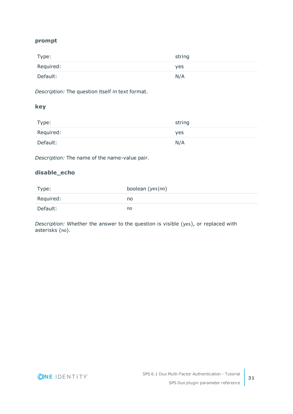## **prompt**

| Type:     | string |
|-----------|--------|
| Required: | yes    |
| Default:  | N/A    |

*Description:* The question itself in text format.

## **key**

| Type:     | string     |
|-----------|------------|
| Required: | <b>yes</b> |
| Default:  | N/A        |

*Description:* The name of the name-value pair.

## **disable\_echo**

| Type:     | boolean (yes   no) |
|-----------|--------------------|
| Required: | no                 |
| Default:  | no                 |

*Description:* Whether the answer to the question is visible (yes), or replaced with asterisks (no).

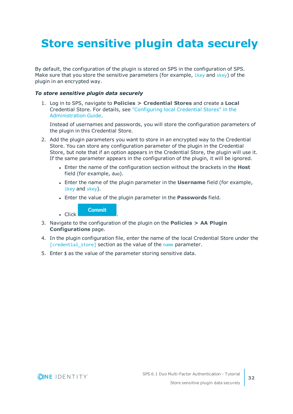# <span id="page-31-0"></span>**Store sensitive plugin data securely**

By default, the configuration of the plugin is stored on SPS in the configuration of SPS. Make sure that you store the sensitive parameters (for example, *[ikey](#page-14-0)* and *[skey](#page-14-0)*) of the plugin in an encrypted way.

## *To store sensitive plugin data securely*

1. Log in to SPS, navigate to **Policies > Credential Stores** and create a **Local** Credential Store. For details, see ["Configuring](https://support.oneidentity.com/technical-documents/safeguard-for-privileged-sessions/6.1.0/administration-guide/advanced-authentication-and-authorization-techniques/using-credential-stores-for-server-side-authentication/configuring-local-credential-stores/) local Credential Stores" in the [Administration](https://support.oneidentity.com/technical-documents/safeguard-for-privileged-sessions/6.1.0/administration-guide/advanced-authentication-and-authorization-techniques/using-credential-stores-for-server-side-authentication/configuring-local-credential-stores/) Guide.

Instead of usernames and passwords, you will store the configuration parameters of the plugin in this Credential Store.

- 2. Add the plugin parameters you want to store in an encrypted way to the Credential Store. You can store any configuration parameter of the plugin in the Credential Store, but note that if an option appears in the Credential Store, the plugin will use it. If the same parameter appears in the configuration of the plugin, it will be ignored.
	- **Enter the name of the configuration section without the brackets in the Host** field (for example, duo).
	- <sup>l</sup> Enter the name of the plugin parameter in the **Username** field (for example, [ikey](#page-14-0) and [skey](#page-14-0)).
	- <sup>l</sup> Enter the value of the plugin parameter in the **Passwords** field.

**Commit**  $\blacksquare$  Click

- 3. Navigate to the configuration of the plugin on the **Policies > AA Plugin Configurations** page.
- 4. In the plugin configuration file, enter the name of the local Credential Store under the [\[credential\\_store\]](#page-27-0) section as the value of the [name](#page-27-1) parameter.
- 5. Enter  $$$  as the value of the parameter storing sensitive data.

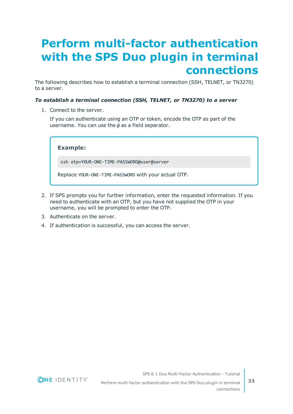# <span id="page-32-0"></span>**Perform multi-factor authentication with the SPS Duo plugin in terminal connections**

The following describes how to establish a terminal connection (SSH, TELNET, or TN3270) to a server.

## *To establish a terminal connection (SSH, TELNET, or TN3270) to a server*

1. Connect to the server.

If you can authenticate using an OTP or token, encode the OTP as part of the username. You can use the @ as a field separator.

**Example:**

ssh otp=YOUR-ONE-TIME-PASSWORD@user@server

Replace YOUR-ONE-TIME-PASSWORD with your actual OTP.

- 2. If SPS prompts you for further information, enter the requested information. If you need to authenticate with an OTP, but you have not supplied the OTP in your username, you will be prompted to enter the OTP.
- 3. Authenticate on the server.
- 4. If authentication is successful, you can access the server.

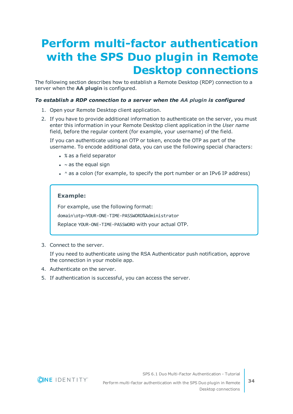# <span id="page-33-0"></span>**Perform multi-factor authentication with the SPS Duo plugin in Remote Desktop connections**

The following section describes how to establish a Remote Desktop (RDP) connection to a server when the **AA plugin** is configured.

## *To establish a RDP connection to a server when the AA plugin is configured*

- 1. Open your Remote Desktop client application.
- 2. If you have to provide additional information to authenticate on the server, you must enter this information in your Remote Desktop client application in the *User name* field, before the regular content (for example, your username) of the field.

If you can authenticate using an OTP or token, encode the OTP as part of the username. To encode additional data, you can use the following special characters:

- % as a field separator
- $\bullet$  ~ as the equal sign
- $\cdot$  ^ as a colon (for example, to specify the port number or an IPv6 IP address)

## **Example:**

For example, use the following format:

domain\otp~YOUR-ONE-TIME-PASSWORD%Administrator

Replace YOUR-ONE-TIME-PASSWORD with your actual OTP.

3. Connect to the server.

If you need to authenticate using the RSA Authenticator push notification, approve the connection in your mobile app.

- 4. Authenticate on the server.
- 5. If authentication is successful, you can access the server.